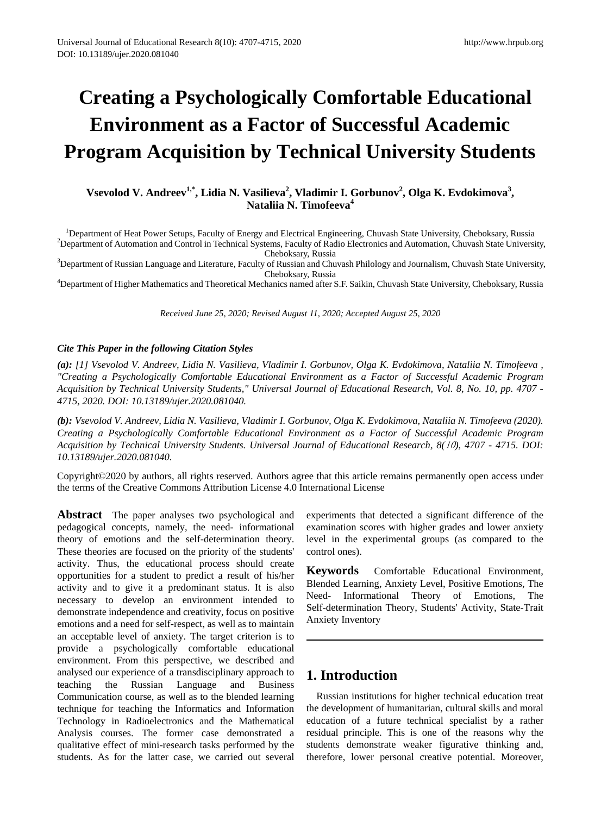# **Creating a Psychologically Comfortable Educational Environment as a Factor of Successful Academic Program Acquisition by Technical University Students**

## **Vsevolod V. Andreev<sup>1,\*</sup>, Lidia N. Vasilieva<sup>2</sup>, Vladimir I. Gorbunov<sup>2</sup>, Olga K. Evdokimova<sup>3</sup>, Nataliia N. Timofeeva<sup>4</sup>**

<sup>1</sup>Department of Heat Power Setups, Faculty of Energy and Electrical Engineering, Chuvash State University, Cheboksary, Russia<br><sup>2</sup>Department of Automation and Control in Technical Systems, Faculty of Radio Electronics and  $\rm^2$ Department of Automation and Control in Technical Systems, Faculty of Radio Electronics and Automation, Chuvash State University,<br>Cheboksary, Russia

Cheboksary, Russia<br><sup>3</sup>Department of Russian Language and Literature, Faculty of Russian and Chuvash Philology and Journalism, Chuvash State University,

Cheboksary, Russia <sup>4</sup> Department of Higher Mathematics and Theoretical Mechanics named after S.F. Saikin, Chuvash State University, Cheboksary, Russia

*Received June 25, 2020; Revised August 11, 2020; Accepted August 25, 2020*

### *Cite This Paper in the following Citation Styles*

*(a): [1] Vsevolod V. Andreev, Lidia N. Vasilieva, Vladimir I. Gorbunov, Olga K. Evdokimova, Nataliia N. Timofeeva , "Creating a Psychologically Comfortable Educational Environment as a Factor of Successful Academic Program Acquisition by Technical University Students," Universal Journal of Educational Research, Vol. 8, No. 10, pp. 4707 - 4715, 2020. DOI: 10.13189/ujer.2020.081040.* 

*(b): Vsevolod V. Andreev, Lidia N. Vasilieva, Vladimir I. Gorbunov, Olga K. Evdokimova, Nataliia N. Timofeeva (2020). Creating a Psychologically Comfortable Educational Environment as a Factor of Successful Academic Program Acquisition by Technical University Students. Universal Journal of Educational Research, 8(*10*), 4707 - 4715. DOI: 10.13189/ujer.2020.081040.* 

Copyright©2020 by authors, all rights reserved. Authors agree that this article remains permanently open access under the terms of the Creative Commons Attribution License 4.0 International License

**Abstract** The paper analyses two psychological and pedagogical concepts, namely, the need- informational theory of emotions and the self-determination theory. These theories are focused on the priority of the students' activity. Thus, the educational process should create opportunities for a student to predict a result of his/her activity and to give it a predominant status. It is also necessary to develop an environment intended to demonstrate independence and creativity, focus on positive emotions and a need for self-respect, as well as to maintain an acceptable level of anxiety. The target criterion is to provide a psychologically comfortable educational environment. From this perspective, we described and analysed our experience of a transdisciplinary approach to teaching the Russian Language and Business Communication course, as well as to the blended learning technique for teaching the Informatics and Information Technology in Radioelectronics and the Mathematical Analysis courses. The former case demonstrated a qualitative effect of mini-research tasks performed by the students. As for the latter case, we carried out several

experiments that detected a significant difference of the examination scores with higher grades and lower anxiety level in the experimental groups (as compared to the control ones).

**Keywords** Comfortable Educational Environment, Blended Learning, Anxiety Level, Positive Emotions, The Need- Informational Theory of Emotions, The Self-determination Theory, Students' Activity, State-Trait Anxiety Inventory

## **1. Introduction**

Russian institutions for higher technical education treat the development of humanitarian, cultural skills and moral education of a future technical specialist by a rather residual principle. This is one of the reasons why the students demonstrate weaker figurative thinking and, therefore, lower personal creative potential. Moreover,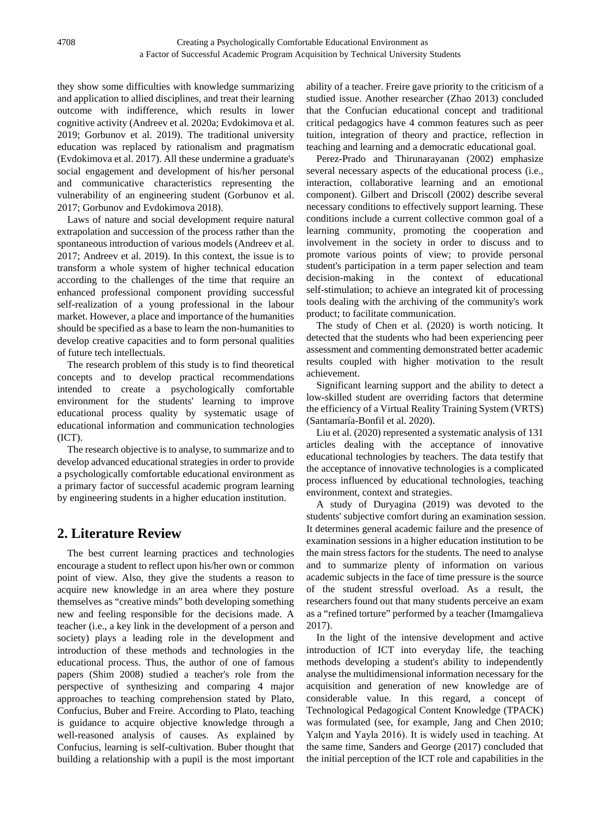they show some difficulties with knowledge summarizing and application to allied disciplines, and treat their learning outcome with indifference, which results in lower cognitive activity (Andreev et al. 2020a; Evdokimova et al. 2019; Gorbunov et al. 2019). The traditional university education was replaced by rationalism and pragmatism (Evdokimova et al. 2017). All these undermine a graduate's social engagement and development of his/her personal and communicative characteristics representing the vulnerability of an engineering student (Gorbunov et al. 2017; Gorbunov and Evdokimova 2018).

Laws of nature and social development require natural extrapolation and succession of the process rather than the spontaneous introduction of various models (Andreev et al. 2017; Andreev et al. 2019). In this context, the issue is to transform a whole system of higher technical education according to the challenges of the time that require an enhanced professional component providing successful self-realization of a young professional in the labour market. However, a place and importance of the humanities should be specified as a base to learn the non-humanities to develop creative capacities and to form personal qualities of future tech intellectuals.

The research problem of this study is to find theoretical concepts and to develop practical recommendations intended to create a psychologically comfortable environment for the students' learning to improve educational process quality by systematic usage of educational information and communication technologies (ICT).

The research objective is to analyse, to summarize and to develop advanced educational strategies in order to provide a psychologically comfortable educational environment as a primary factor of successful academic program learning by engineering students in a higher education institution.

## **2. Literature Review**

The best current learning practices and technologies encourage a student to reflect upon his/her own or common point of view. Also, they give the students a reason to acquire new knowledge in an area where they posture themselves as "creative minds" both developing something new and feeling responsible for the decisions made. A teacher (i.e., a key link in the development of a person and society) plays a leading role in the development and introduction of these methods and technologies in the educational process. Thus, the author of one of famous papers (Shim 2008) studied a teacher's role from the perspective of synthesizing and comparing 4 major approaches to teaching comprehension stated by Plato, Confucius, Buber and Freire. According to Plato, teaching is guidance to acquire objective knowledge through a well-reasoned analysis of causes. As explained by Confucius, learning is self-cultivation. Buber thought that building a relationship with a pupil is the most important

ability of a teacher. Freire gave priority to the criticism of a studied issue. Another researcher (Zhao 2013) concluded that the Confucian educational concept and traditional critical pedagogics have 4 common features such as peer tuition, integration of theory and practice, reflection in teaching and learning and a democratic educational goal.

Perez-Prado and Thirunarayanan (2002) emphasize several necessary aspects of the educational process (i.e., interaction, collaborative learning and an emotional component). Gilbert and Driscoll (2002) describe several necessary conditions to effectively support learning. These conditions include a current collective common goal of a learning community, promoting the cooperation and involvement in the society in order to discuss and to promote various points of view; to provide personal student's participation in a term paper selection and team decision-making in the context of educational self-stimulation; to achieve an integrated kit of processing tools dealing with the archiving of the community's work product; to facilitate communication.

The study of Chen et al. (2020) is worth noticing. It detected that the students who had been experiencing peer assessment and commenting demonstrated better academic results coupled with higher motivation to the result achievement.

Significant learning support and the ability to detect a low-skilled student are overriding factors that determine the efficiency of a Virtual Reality Training System (VRTS) (Santamaría-Bonfil et al. 2020).

Liu et al. (2020) represented a systematic analysis of 131 articles dealing with the acceptance of innovative educational technologies by teachers. The data testify that the acceptance of innovative technologies is a complicated process influenced by educational technologies, teaching environment, context and strategies.

A study of Duryagina (2019) was devoted to the students' subjective comfort during an examination session. It determines general academic failure and the presence of examination sessions in a higher education institution to be the main stress factors for the students. The need to analyse and to summarize plenty of information on various academic subjects in the face of time pressure is the source of the student stressful overload. As a result, the researchers found out that many students perceive an exam as a "refined torture" performed by a teacher (Imamgalieva 2017).

In the light of the intensive development and active introduction of ICT into everyday life, the teaching methods developing a student's ability to independently analyse the multidimensional information necessary for the acquisition and generation of new knowledge are of considerable value. In this regard, a concept of Technological Pedagogical Content Knowledge (TPACK) was formulated (see, for example, Jang and Chen 2010; Yalçın and Yayla 2016). It is widely used in teaching. At the same time, Sanders and George (2017) concluded that the initial perception of the ICT role and capabilities in the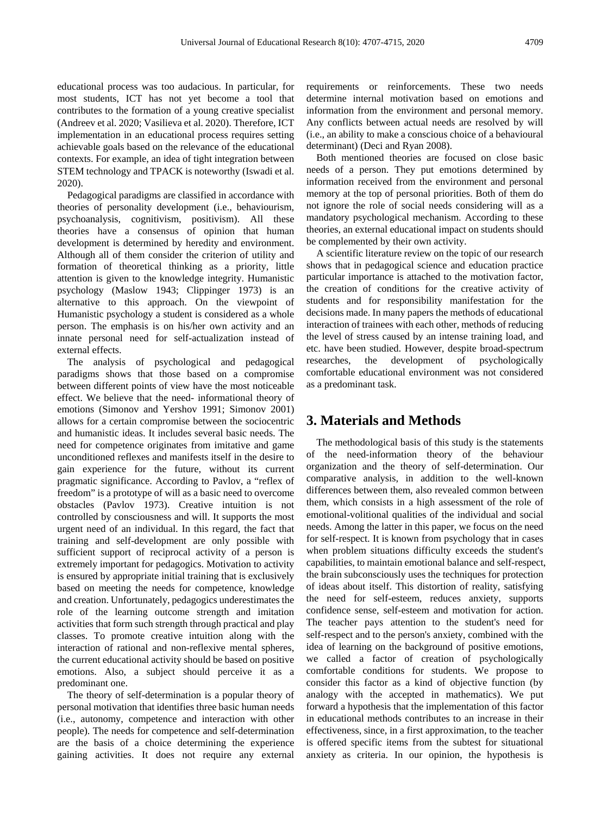educational process was too audacious. In particular, for most students, ICT has not yet become a tool that contributes to the formation of a young creative specialist (Andreev et al. 2020; Vasilieva et al. 2020). Therefore, ICT implementation in an educational process requires setting achievable goals based on the relevance of the educational contexts. For example, an idea of tight integration between STEM technology and TPACK is noteworthy (Iswadi et al. 2020).

Pedagogical paradigms are classified in accordance with theories of personality development (i.e., behaviourism, psychoanalysis, cognitivism, positivism). All these theories have a consensus of opinion that human development is determined by heredity and environment. Although all of them consider the criterion of utility and formation of theoretical thinking as a priority, little attention is given to the knowledge integrity. Humanistic psychology (Maslow 1943; Clippinger 1973) is an alternative to this approach. On the viewpoint of Humanistic psychology a student is considered as a whole person. The emphasis is on his/her own activity and an innate personal need for self-actualization instead of external effects.

The analysis of psychological and pedagogical paradigms shows that those based on a compromise between different points of view have the most noticeable effect. We believe that the need- informational theory of emotions (Simonov and Yershov 1991; Simonov 2001) allows for a certain compromise between the sociocentric and humanistic ideas. It includes several basic needs. The need for competence originates from imitative and game unconditioned reflexes and manifests itself in the desire to gain experience for the future, without its current pragmatic significance. According to Pavlov, a "reflex of freedom" is a prototype of will as a basic need to overcome obstacles (Pavlov 1973). Creative intuition is not controlled by consciousness and will. It supports the most urgent need of an individual. In this regard, the fact that training and self-development are only possible with sufficient support of reciprocal activity of a person is extremely important for pedagogics. Motivation to activity is ensured by appropriate initial training that is exclusively based on meeting the needs for competence, knowledge and creation. Unfortunately, pedagogics underestimates the role of the learning outcome strength and imitation activities that form such strength through practical and play classes. To promote creative intuition along with the interaction of rational and non-reflexive mental spheres, the current educational activity should be based on positive emotions. Also, a subject should perceive it as a predominant one.

The theory of self-determination is a popular theory of personal motivation that identifies three basic human needs (i.e., autonomy, competence and interaction with other people). The needs for competence and self-determination are the basis of a choice determining the experience gaining activities. It does not require any external

requirements or reinforcements. These two needs determine internal motivation based on emotions and information from the environment and personal memory. Any conflicts between actual needs are resolved by will (i.e., an ability to make a conscious choice of a behavioural determinant) (Deci and Ryan 2008).

Both mentioned theories are focused on close basic needs of a person. They put emotions determined by information received from the environment and personal memory at the top of personal priorities. Both of them do not ignore the role of social needs considering will as a mandatory psychological mechanism. According to these theories, an external educational impact on students should be complemented by their own activity.

A scientific literature review on the topic of our research shows that in pedagogical science and education practice particular importance is attached to the motivation factor, the creation of conditions for the creative activity of students and for responsibility manifestation for the decisions made. In many papers the methods of educational interaction of trainees with each other, methods of reducing the level of stress caused by an intense training load, and etc. have been studied. However, despite broad-spectrum researches, the development of psychologically comfortable educational environment was not considered as a predominant task.

## **3. Materials and Methods**

The methodological basis of this study is the statements of the need-information theory of the behaviour organization and the theory of self-determination. Our comparative analysis, in addition to the well-known differences between them, also revealed common between them, which consists in a high assessment of the role of emotional-volitional qualities of the individual and social needs. Among the latter in this paper, we focus on the need for self-respect. It is known from psychology that in cases when problem situations difficulty exceeds the student's capabilities, to maintain emotional balance and self-respect, the brain subconsciously uses the techniques for protection of ideas about itself. This distortion of reality, satisfying the need for self-esteem, reduces anxiety, supports confidence sense, self-esteem and motivation for action. The teacher pays attention to the student's need for self-respect and to the person's anxiety, combined with the idea of learning on the background of positive emotions, we called a factor of creation of psychologically comfortable conditions for students. We propose to consider this factor as a kind of objective function (by analogy with the accepted in mathematics). We put forward a hypothesis that the implementation of this factor in educational methods contributes to an increase in their effectiveness, since, in a first approximation, to the teacher is offered specific items from the subtest for situational anxiety as criteria. In our opinion, the hypothesis is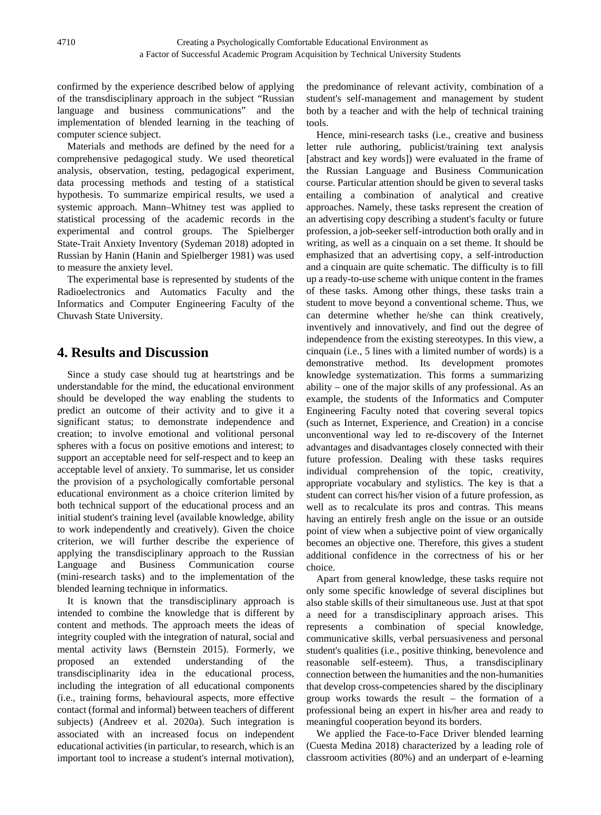confirmed by the experience described below of applying of the transdisciplinary approach in the subject "Russian language and business communications" and the implementation of blended learning in the teaching of computer science subject.

Materials and methods are defined by the need for a comprehensive pedagogical study. We used theoretical analysis, observation, testing, pedagogical experiment, data processing methods and testing of a statistical hypothesis. To summarize empirical results, we used a systemic approach. Mann–Whitney test was applied to statistical processing of the academic records in the experimental and control groups. The Spielberger State-Trait Anxiety Inventory (Sydeman 2018) adopted in Russian by Hanin (Hanin and Spielberger 1981) was used to measure the anxiety level.

The experimental base is represented by students of the Radioelectronics and Automatics Faculty and the Informatics and Computer Engineering Faculty of the Chuvash State University.

# **4. Results and Discussion**

Since a study case should tug at heartstrings and be understandable for the mind, the educational environment should be developed the way enabling the students to predict an outcome of their activity and to give it a significant status; to demonstrate independence and creation; to involve emotional and volitional personal spheres with a focus on positive emotions and interest; to support an acceptable need for self-respect and to keep an acceptable level of anxiety. To summarise, let us consider the provision of a psychologically comfortable personal educational environment as a choice criterion limited by both technical support of the educational process and an initial student's training level (available knowledge, ability to work independently and creatively). Given the choice criterion, we will further describe the experience of applying the transdisciplinary approach to the Russian Language and Business Communication course (mini-research tasks) and to the implementation of the blended learning technique in informatics.

It is known that the transdisciplinary approach is intended to combine the knowledge that is different by content and methods. The approach meets the ideas of integrity coupled with the integration of natural, social and mental activity laws (Bernstein 2015). Formerly, we proposed an extended understanding of the transdisciplinarity idea in the educational process, including the integration of all educational components (i.e., training forms, behavioural aspects, more effective contact (formal and informal) between teachers of different subjects) (Andreev et al. 2020a). Such integration is associated with an increased focus on independent educational activities (in particular, to research, which is an important tool to increase a student's internal motivation),

the predominance of relevant activity, combination of a student's self-management and management by student both by a teacher and with the help of technical training tools.

Hence, mini-research tasks (i.e., creative and business letter rule authoring, publicist/training text analysis [abstract and key words]) were evaluated in the frame of the Russian Language and Business Communication course. Particular attention should be given to several tasks entailing a combination of analytical and creative approaches. Namely, these tasks represent the creation of an advertising copy describing a student's faculty or future profession, a job-seeker self-introduction both orally and in writing, as well as a cinquain on a set theme. It should be emphasized that an advertising copy, a self-introduction and a cinquain are quite schematic. The difficulty is to fill up a ready-to-use scheme with unique content in the frames of these tasks. Among other things, these tasks train a student to move beyond a conventional scheme. Thus, we can determine whether he/she can think creatively, inventively and innovatively, and find out the degree of independence from the existing stereotypes. In this view, a cinquain (i.e., 5 lines with a limited number of words) is a demonstrative method. Its development promotes knowledge systematization. This forms a summarizing ability – one of the major skills of any professional. As an example, the students of the Informatics and Computer Engineering Faculty noted that covering several topics (such as Internet, Experience, and Creation) in a concise unconventional way led to re-discovery of the Internet advantages and disadvantages closely connected with their future profession. Dealing with these tasks requires individual comprehension of the topic, creativity, appropriate vocabulary and stylistics. The key is that a student can correct his/her vision of a future profession, as well as to recalculate its pros and contras. This means having an entirely fresh angle on the issue or an outside point of view when a subjective point of view organically becomes an objective one. Therefore, this gives a student additional confidence in the correctness of his or her choice.

Apart from general knowledge, these tasks require not only some specific knowledge of several disciplines but also stable skills of their simultaneous use. Just at that spot a need for a transdisciplinary approach arises. This represents a combination of special knowledge, communicative skills, verbal persuasiveness and personal student's qualities (i.e., positive thinking, benevolence and reasonable self-esteem). Thus, a transdisciplinary connection between the humanities and the non-humanities that develop cross-competencies shared by the disciplinary group works towards the result – the formation of a professional being an expert in his/her area and ready to meaningful cooperation beyond its borders.

We applied the Face-to-Face Driver blended learning (Cuesta Medina 2018) characterized by a leading role of classroom activities (80%) and an underpart of e-learning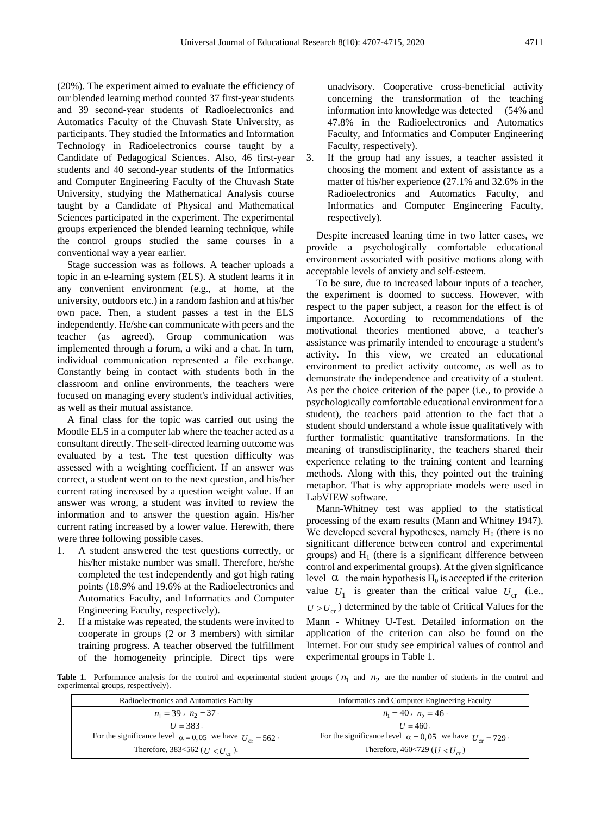(20%). The experiment aimed to evaluate the efficiency of our blended learning method counted 37 first-year students and 39 second-year students of Radioelectronics and Automatics Faculty of the Chuvash State University, as participants. They studied the Informatics and Information Technology in Radioelectronics course taught by a Candidate of Pedagogical Sciences. Also, 46 first-year students and 40 second-year students of the Informatics and Computer Engineering Faculty of the Chuvash State University, studying the Mathematical Analysis course taught by a Candidate of Physical and Mathematical Sciences participated in the experiment. The experimental groups experienced the blended learning technique, while the control groups studied the same courses in a conventional way a year earlier.

Stage succession was as follows. A teacher uploads a topic in an e-learning system (ELS). A student learns it in any convenient environment (e.g., at home, at the university, outdoors etc.) in a random fashion and at his/her own pace. Then, a student passes a test in the ELS independently. He/she can communicate with peers and the teacher (as agreed). Group communication was implemented through a forum, a wiki and a chat. In turn, individual communication represented a file exchange. Constantly being in contact with students both in the classroom and online environments, the teachers were focused on managing every student's individual activities, as well as their mutual assistance.

A final class for the topic was carried out using the Moodle ELS in a computer lab where the teacher acted as a consultant directly. The self-directed learning outcome was evaluated by a test. The test question difficulty was assessed with a weighting coefficient. If an answer was correct, a student went on to the next question, and his/her current rating increased by a question weight value. If an answer was wrong, a student was invited to review the information and to answer the question again. His/her current rating increased by a lower value. Herewith, there were three following possible cases.

- 1. A student answered the test questions correctly, or his/her mistake number was small. Therefore, he/she completed the test independently and got high rating points (18.9% and 19.6% at the Radioelectronics and Automatics Faculty, and Informatics and Computer Engineering Faculty, respectively).
- 2. If a mistake was repeated, the students were invited to cooperate in groups (2 or 3 members) with similar training progress. A teacher observed the fulfillment of the homogeneity principle. Direct tips were

unadvisory. Cooperative cross-beneficial activity concerning the transformation of the teaching information into knowledge was detected (54% and 47.8% in the Radioelectronics and Automatics Faculty, and Informatics and Computer Engineering Faculty, respectively).

3. If the group had any issues, a teacher assisted it choosing the moment and extent of assistance as a matter of his/her experience (27.1% and 32.6% in the Radioelectronics and Automatics Faculty, and Informatics and Computer Engineering Faculty, respectively).

Despite increased leaning time in two latter cases, we provide a psychologically comfortable educational environment associated with positive motions along with acceptable levels of anxiety and self-esteem.

To be sure, due to increased labour inputs of a teacher, the experiment is doomed to success. However, with respect to the paper subject, a reason for the effect is of importance. According to recommendations of the motivational theories mentioned above, a teacher's assistance was primarily intended to encourage a student's activity. In this view, we created an educational environment to predict activity outcome, as well as to demonstrate the independence and creativity of a student. As per the choice criterion of the paper (i.e., to provide a psychologically comfortable educational environment for a student), the teachers paid attention to the fact that a student should understand a whole issue qualitatively with further formalistic quantitative transformations. In the meaning of transdisciplinarity, the teachers shared their experience relating to the training content and learning methods. Along with this, they pointed out the training metaphor. That is why appropriate models were used in LabVIEW software.

Mann-Whitney test was applied to the statistical processing of the exam results (Mann and Whitney 1947). We developed several hypotheses, namely  $H_0$  (there is no significant difference between control and experimental groups) and  $H<sub>1</sub>$  (there is a significant difference between control and experimental groups). At the given significance level  $\alpha$  the main hypothesis H<sub>0</sub> is accepted if the criterion value  $U_1$  is greater than the critical value  $U_{cr}$  (i.e.,  $U > U_{cr}$ ) determined by the table of Critical Values for the Mann - Whitney U-Test. Detailed information on the application of the criterion can also be found on the Internet. For our study see empirical values of control and experimental groups in Table 1.

**Table 1.** Performance analysis for the control and experimental student groups ( $n_1$  and  $n_2$  are the number of students in the control and provisional accounts in the control and experimental groups, respectively).

| Radioelectronics and Automatics Faculty                             | Informatics and Computer Engineering Faculty                        |
|---------------------------------------------------------------------|---------------------------------------------------------------------|
| $n_1 = 39$ , $n_2 = 37$ .                                           | $n_1 = 40, n_2 = 46$ .                                              |
| $U = 383$ .                                                         | $U = 460$ .                                                         |
| For the significance level $\alpha = 0.05$ we have $U_{cr} = 562$ . | For the significance level $\alpha = 0.05$ we have $U_{cr} = 729$ . |
| Therefore, 383<562 ( $U < U_{cr}$ ).                                | Therefore, 460<729 ( $U < U_{cr}$ )                                 |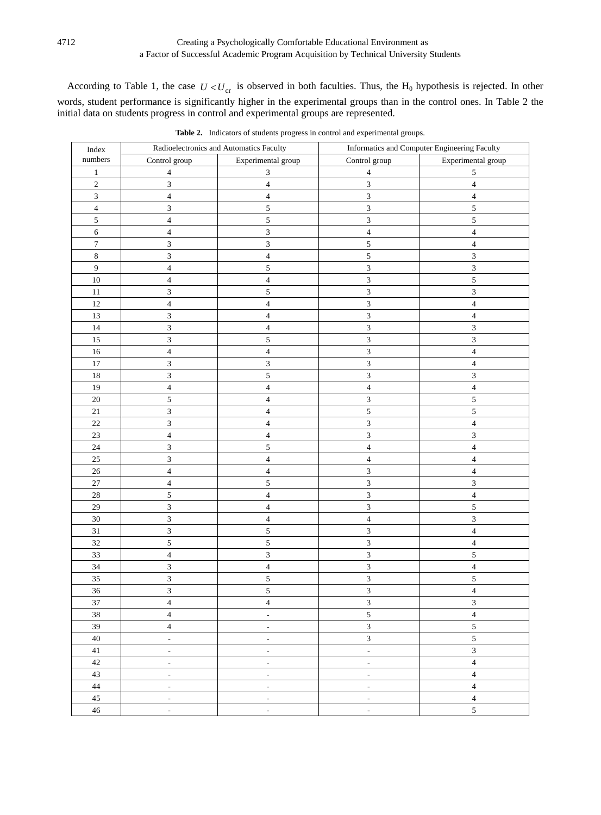## Creating a Psychologically Comfortable Educational Environment as a Factor of Successful Academic Program Acquisition by Technical University Students

According to Table 1, the case  $U < U_{cr}$  is observed in both faculties. Thus, the  $H_0$  hypothesis is rejected. In other words, student performance is significantly higher in the experimental groups than in the control ones. In Table 2 the initial data on students progress in control and experimental groups are represented.

| Index                   | Radioelectronics and Automatics Faculty |                              | Informatics and Computer Engineering Faculty |                             |  |
|-------------------------|-----------------------------------------|------------------------------|----------------------------------------------|-----------------------------|--|
| numbers                 | Control group                           | Experimental group           | Control group                                | Experimental group          |  |
| $\mathbf{1}$            | $\sqrt{4}$                              | 3                            | $\overline{\mathcal{A}}$                     | 5                           |  |
| $\overline{c}$          | $\mathfrak{Z}$                          | $\overline{\mathbf{4}}$      | $\ensuremath{\mathfrak{Z}}$                  | $\overline{4}$              |  |
| $\overline{3}$          | $\overline{4}$                          | 4                            | $\ensuremath{\mathfrak{Z}}$                  | 4                           |  |
| $\overline{\mathbf{4}}$ | $\mathfrak{Z}$                          | 5                            | $\mathfrak{Z}$                               | 5                           |  |
| $\sqrt{5}$              | $\overline{4}$                          | 5                            | $\ensuremath{\mathfrak{Z}}$                  | 5                           |  |
| $\overline{6}$          | $\overline{4}$                          | $\overline{\mathbf{3}}$      | $\overline{4}$                               | $\overline{4}$              |  |
| $\boldsymbol{7}$        | $\mathfrak{Z}$                          | 3                            | $\sqrt{5}$                                   | $\overline{\mathcal{L}}$    |  |
| $\,$ 8 $\,$             | $\overline{3}$                          | $\overline{4}$               | 5                                            | $\overline{\mathbf{3}}$     |  |
| $\boldsymbol{9}$        | $\overline{4}$                          | 5                            | $\overline{3}$                               | 3                           |  |
| $10\,$                  | $\overline{\mathbf{4}}$                 | $\overline{\mathcal{L}}$     | $\overline{3}$                               | 5                           |  |
| $11\,$                  | $\overline{3}$                          | 5                            | $\overline{3}$                               | $\overline{3}$              |  |
| 12                      | $\overline{4}$                          | $\overline{\mathcal{L}}$     | $\overline{3}$                               | $\overline{\mathbf{4}}$     |  |
| 13                      | $\overline{\mathbf{3}}$                 | $\overline{4}$               | $\overline{\mathbf{3}}$                      | $\overline{\mathbf{4}}$     |  |
| $14$                    | $\overline{3}$                          | $\overline{\mathcal{L}}$     | 3                                            | $\overline{3}$              |  |
| $15\,$                  | $\overline{3}$                          | 5                            | $\overline{3}$                               | $\overline{\mathbf{3}}$     |  |
| 16                      | $\overline{4}$                          | $\overline{\mathcal{L}}$     | $\overline{3}$                               | $\overline{\mathcal{L}}$    |  |
| $17\,$                  | $\overline{3}$                          | 3                            | $\overline{3}$                               | $\overline{\mathbf{4}}$     |  |
| $18\,$                  | $\overline{3}$                          | 5                            | $\overline{3}$                               | $\overline{3}$              |  |
| 19                      | $\overline{4}$                          | $\overline{\mathcal{L}}$     | $\overline{\mathcal{L}}$                     | $\overline{4}$              |  |
| $20\,$                  | $\sqrt{5}$                              | $\overline{\mathcal{L}}$     | 3                                            | 5                           |  |
| $21\,$                  | $\mathfrak{Z}$                          | $\overline{\mathbf{4}}$      | 5                                            | 5                           |  |
| 22                      | $\mathfrak{Z}$                          | $\overline{\mathbf{4}}$      | $\mathfrak{Z}$                               | $\overline{\mathcal{L}}$    |  |
| $23\,$                  | $\overline{4}$                          | $\overline{\mathbf{4}}$      | 3                                            | $\overline{3}$              |  |
| 24                      | $\mathfrak{Z}$                          | 5                            | $\overline{\mathcal{L}}$                     | $\overline{\mathbf{4}}$     |  |
| $25\,$                  | $\mathfrak{Z}$                          | $\overline{\mathcal{L}}$     | $\overline{4}$                               | $\overline{\mathcal{L}}$    |  |
| $26\,$                  | $\overline{4}$                          | $\overline{\mathcal{L}}$     | $\ensuremath{\mathfrak{Z}}$                  | $\overline{\mathbf{4}}$     |  |
| $27\,$                  | $\overline{4}$                          | 5                            | $\overline{\mathbf{3}}$                      | $\mathfrak z$               |  |
| $28\,$                  | $\sqrt{5}$                              | $\overline{\mathbf{4}}$      | $\sqrt{3}$                                   | $\overline{\mathbf{4}}$     |  |
| $29\,$                  | $\overline{3}$                          | $\overline{\mathbf{4}}$      | $\sqrt{3}$                                   | 5                           |  |
| $30\,$                  | $\overline{3}$                          | $\overline{\mathcal{A}}$     | $\overline{4}$                               | $\mathfrak{Z}$              |  |
| $31\,$                  | $\overline{3}$                          | 5                            | $\mathfrak{Z}$                               | $\overline{\mathbf{4}}$     |  |
| 32                      | $\sqrt{5}$                              | 5                            | 3                                            | $\overline{\mathbf{4}}$     |  |
| 33                      | $\overline{4}$                          | 3                            | 3                                            | $\sqrt{5}$                  |  |
| 34                      | $\mathfrak{Z}$                          | $\overline{\mathcal{L}}$     | $\mathfrak{Z}$                               | $\overline{\mathbf{4}}$     |  |
| $35\,$                  | $\overline{\mathbf{3}}$                 | 5                            | $\mathfrak{Z}$                               | 5                           |  |
| 36                      | $\overline{\mathbf{3}}$                 | 5                            | $\overline{\mathbf{3}}$                      | $\overline{\mathbf{4}}$     |  |
| 37                      | $\sqrt{4}$                              | $\overline{4}$               | $\ensuremath{\mathfrak{Z}}$                  | $\ensuremath{\mathfrak{Z}}$ |  |
| 38                      | $\overline{4}$                          | $\overline{\phantom{a}}$     | 5                                            | $\overline{4}$              |  |
| 39                      | $\overline{4}$                          | $\overline{\phantom{a}}$     | $\overline{3}$                               | 5                           |  |
| $40\,$                  | $\overline{\phantom{a}}$                | $\overline{\phantom{a}}$     | $\overline{3}$                               | 5                           |  |
| 41                      | $\qquad \qquad -$                       | $\qquad \qquad \blacksquare$ | $\overline{\phantom{a}}$                     | $\mathfrak{Z}$              |  |
| $42\,$                  | $\qquad \qquad -$                       | $\overline{\phantom{a}}$     | $\overline{\phantom{a}}$                     | $\overline{4}$              |  |
| 43                      | $\overline{\phantom{a}}$                | $\overline{\phantom{a}}$     | $\overline{\phantom{a}}$                     | $\overline{\mathbf{4}}$     |  |
| 44                      | $\overline{\phantom{a}}$                | $\overline{\phantom{a}}$     | $\overline{\phantom{a}}$                     | $\overline{\mathbf{4}}$     |  |
| 45                      | $\overline{\phantom{a}}$                | $\overline{\phantom{a}}$     | $\overline{\phantom{a}}$                     | $\overline{\mathbf{4}}$     |  |
| 46                      | $\overline{\phantom{a}}$                | $\overline{a}$               | $\qquad \qquad \blacksquare$                 | 5                           |  |

**Table 2.** Indicators of students progress in control and experimental groups.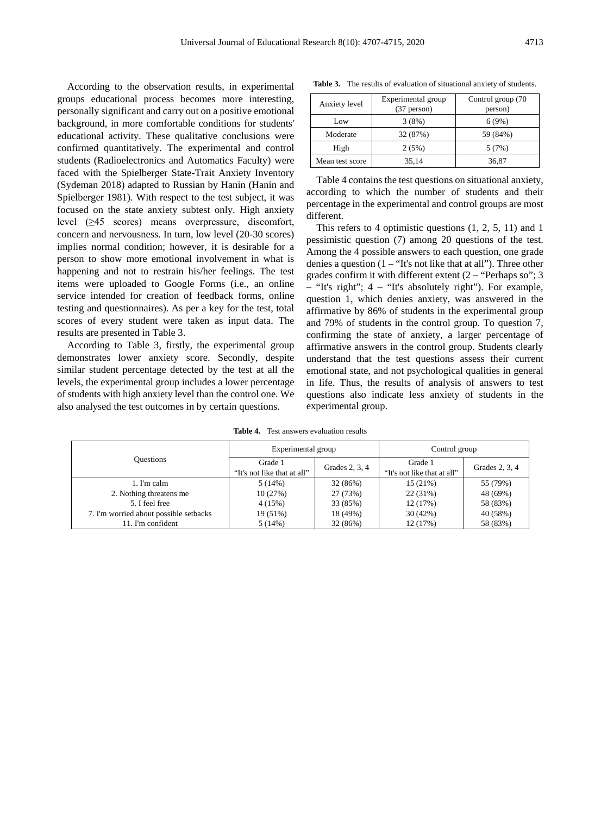According to the observation results, in experimental groups educational process becomes more interesting, personally significant and carry out on a positive emotional background, in more comfortable conditions for students' educational activity. These qualitative conclusions were confirmed quantitatively. The experimental and control students (Radioelectronics and Automatics Faculty) were faced with the Spielberger State-Trait Anxiety Inventory (Sydeman 2018) adapted to Russian by Hanin (Hanin and Spielberger 1981). With respect to the test subject, it was focused on the state anxiety subtest only. High anxiety level (≥45 scores) means overpressure, discomfort, concern and nervousness. In turn, low level (20-30 scores) implies normal condition; however, it is desirable for a person to show more emotional involvement in what is happening and not to restrain his/her feelings. The test items were uploaded to Google Forms (i.e., an online service intended for creation of feedback forms, online testing and questionnaires). As per a key for the test, total scores of every student were taken as input data. The results are presented in Table 3.

According to Table 3, firstly, the experimental group demonstrates lower anxiety score. Secondly, despite similar student percentage detected by the test at all the levels, the experimental group includes a lower percentage of students with high anxiety level than the control one. We also analysed the test outcomes in by certain questions.

**Table 3.** The results of evaluation of situational anxiety of students.

| Anxiety level   | Experimental group<br>$(37$ person) | Control group (70<br>person) |
|-----------------|-------------------------------------|------------------------------|
| Low             | 3(8%)                               | 6(9%)                        |
| Moderate        | 32 (87%)                            | 59 (84%)                     |
| High            | 2(5%)                               | 5(7%)                        |
| Mean test score | 35,14                               | 36.87                        |

Table 4 contains the test questions on situational anxiety, according to which the number of students and their percentage in the experimental and control groups are most different.

This refers to 4 optimistic questions (1, 2, 5, 11) and 1 pessimistic question (7) among 20 questions of the test. Among the 4 possible answers to each question, one grade denies a question  $(1 - "It's not like that at all")$ . Three other grades confirm it with different extent  $(2 - "Perhaps so"; 3$ – "It's right"; 4 – "It's absolutely right"). For example, question 1, which denies anxiety, was answered in the affirmative by 86% of students in the experimental group and 79% of students in the control group. To question 7, confirming the state of anxiety, a larger percentage of affirmative answers in the control group. Students clearly understand that the test questions assess their current emotional state, and not psychological qualities in general in life. Thus, the results of analysis of answers to test questions also indicate less anxiety of students in the experimental group.

**Table 4.** Test answers evaluation results

|                                        | Experimental group                     |                | Control group                          |                |
|----------------------------------------|----------------------------------------|----------------|----------------------------------------|----------------|
| <b>Ouestions</b>                       | Grade 1<br>"It's not like that at all" | Grades 2, 3, 4 | Grade 1<br>"It's not like that at all" | Grades 2, 3, 4 |
| 1. I'm calm                            | 5(14%)                                 | 32 (86%)       | 15(21%)                                | 55 (79%)       |
| 2. Nothing threatens me                | 10(27%)                                | 27 (73%)       | 22 (31%)                               | 48 (69%)       |
| 5. I feel free                         | 4(15%)                                 | 33 (85%)       | 12 (17%)                               | 58 (83%)       |
| 7. I'm worried about possible setbacks | 19 (51%)                               | 18 (49%)       | 30(42%)                                | 40 (58%)       |
| 11. I'm confident                      | 5(14%)                                 | 32 (86%)       | 12 (17%)                               | 58 (83%)       |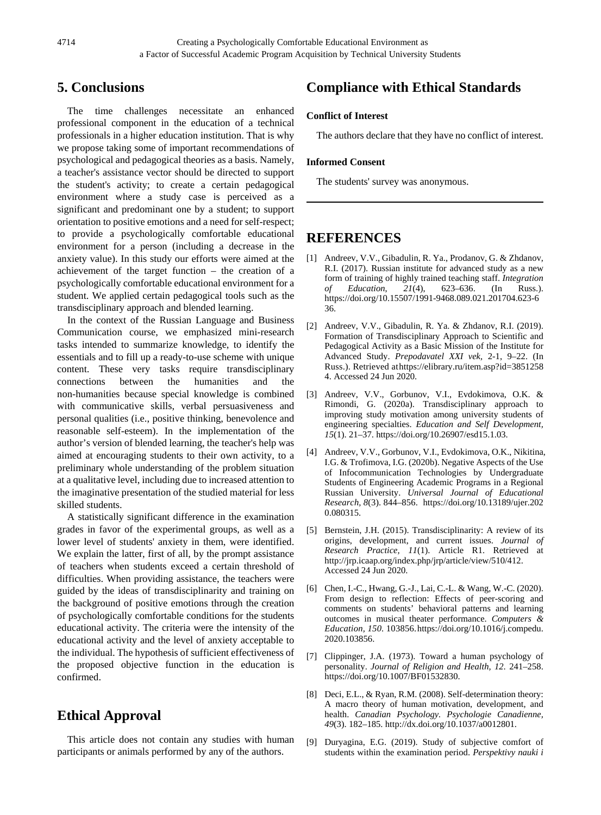## **5. Conclusions**

The time challenges necessitate an enhanced professional component in the education of a technical professionals in a higher education institution. That is why we propose taking some of important recommendations of psychological and pedagogical theories as a basis. Namely, a teacher's assistance vector should be directed to support the student's activity; to create a certain pedagogical environment where a study case is perceived as a significant and predominant one by a student; to support orientation to positive emotions and a need for self-respect; to provide a psychologically comfortable educational environment for a person (including a decrease in the anxiety value). In this study our efforts were aimed at the achievement of the target function – the creation of a psychologically comfortable educational environment for a student. We applied certain pedagogical tools such as the transdisciplinary approach and blended learning.

In the context of the Russian Language and Business Communication course, we emphasized mini-research tasks intended to summarize knowledge, to identify the essentials and to fill up a ready-to-use scheme with unique content. These very tasks require transdisciplinary connections between the humanities and the non-humanities because special knowledge is combined with communicative skills, verbal persuasiveness and personal qualities (i.e., positive thinking, benevolence and reasonable self-esteem). In the implementation of the author's version of blended learning, the teacher's help was aimed at encouraging students to their own activity, to a preliminary whole understanding of the problem situation at a qualitative level, including due to increased attention to the imaginative presentation of the studied material for less skilled students.

A statistically significant difference in the examination grades in favor of the experimental groups, as well as a lower level of students' anxiety in them, were identified. We explain the latter, first of all, by the prompt assistance of teachers when students exceed a certain threshold of difficulties. When providing assistance, the teachers were guided by the ideas of transdisciplinarity and training on the background of positive emotions through the creation of psychologically comfortable conditions for the students educational activity. The criteria were the intensity of the educational activity and the level of anxiety acceptable to the individual. The hypothesis of sufficient effectiveness of the proposed objective function in the education is confirmed.

## **Ethical Approval**

This article does not contain any studies with human participants or animals performed by any of the authors.

# **Compliance with Ethical Standards**

#### **Conflict of Interest**

The authors declare that they have no conflict of interest.

#### **Informed Consent**

The students' survey was anonymous.

## **REFERENCES**

- [1] Andreev, V.V., Gibadulin, R. Ya., Prodanov, G. & Zhdanov, R.I. (2017). Russian institute for advanced study as a new form of training of highly trained teaching staff. *Integration of Education*, *21*(4), 623–636. (In Russ.). https://doi.org/10.15507/1991-9468.089.021.201704.623-6 36.
- [2] Andreev, V.V., Gibadulin, R. Ya. & Zhdanov, R.I. (2019). Formation of Transdisciplinary Approach to Scientific and Pedagogical Activity as a Basic Mission of the Institute for Advanced Study. *Prepodavatel XXI vek,* 2-1, 9–22. (In Russ.). Retrieved athttps://elibrary.ru/item.asp?id=3851258 4. Accessed 24 Jun 2020.
- [3] Andreev, V.V., Gorbunov, V.I., Evdokimova, O.K. & Rimondi, G. (2020a). Transdisciplinary approach to improving study motivation among university students of engineering specialties. *Education and Self Development, 15*(1). 21–37. https://doi.org/10.26907/esd15.1.03.
- [4] Andreev, V.V., Gorbunov, V.I., Evdokimova, O.K., Nikitina, I.G. & Trofimova, I.G. (2020b). Negative Aspects of the Use of Infocommunication Technologies by Undergraduate Students of Engineering Academic Programs in a Regional Russian University. *Universal Journal of Educational Research, 8*(3). 844–856. https://doi.org/10.13189/ujer.202 0.080315.
- [5] Bernstein, J.H. (2015). Transdisciplinarity: A review of its origins, development, and current issues. *Journal of Research Practice, 11*(1). Article R1. Retrieved at http://jrp.icaap.org/index.php/jrp/article/view/510/412. Accessed 24 Jun 2020.
- [6] Chen, I.-C., Hwang, G.-J., Lai, C.-L. & Wang, W.-C. (2020). From design to reflection: Effects of peer-scoring and comments on students' behavioral patterns and learning outcomes in musical theater performance. *Computers & Education, 150*. 103856.https://doi.org/10.1016/j.compedu. 2020.103856.
- [7] Clippinger, J.A. (1973). Toward a human psychology of personality. *Journal of Religion and Health, 12*. 241–258. https://doi.org/10.1007/BF01532830.
- [8] Deci, E.L., & Ryan, R.M. (2008). Self-determination theory: A macro theory of human motivation, development, and health. *Canadian Psychology. Psychologie Canadienne, 49*(3). 182–185. http://dx.doi.org/10.1037/a0012801.
- [9] Duryagina, E.G. (2019). Study of subjective comfort of students within the examination period. *Perspektivy nauki i*